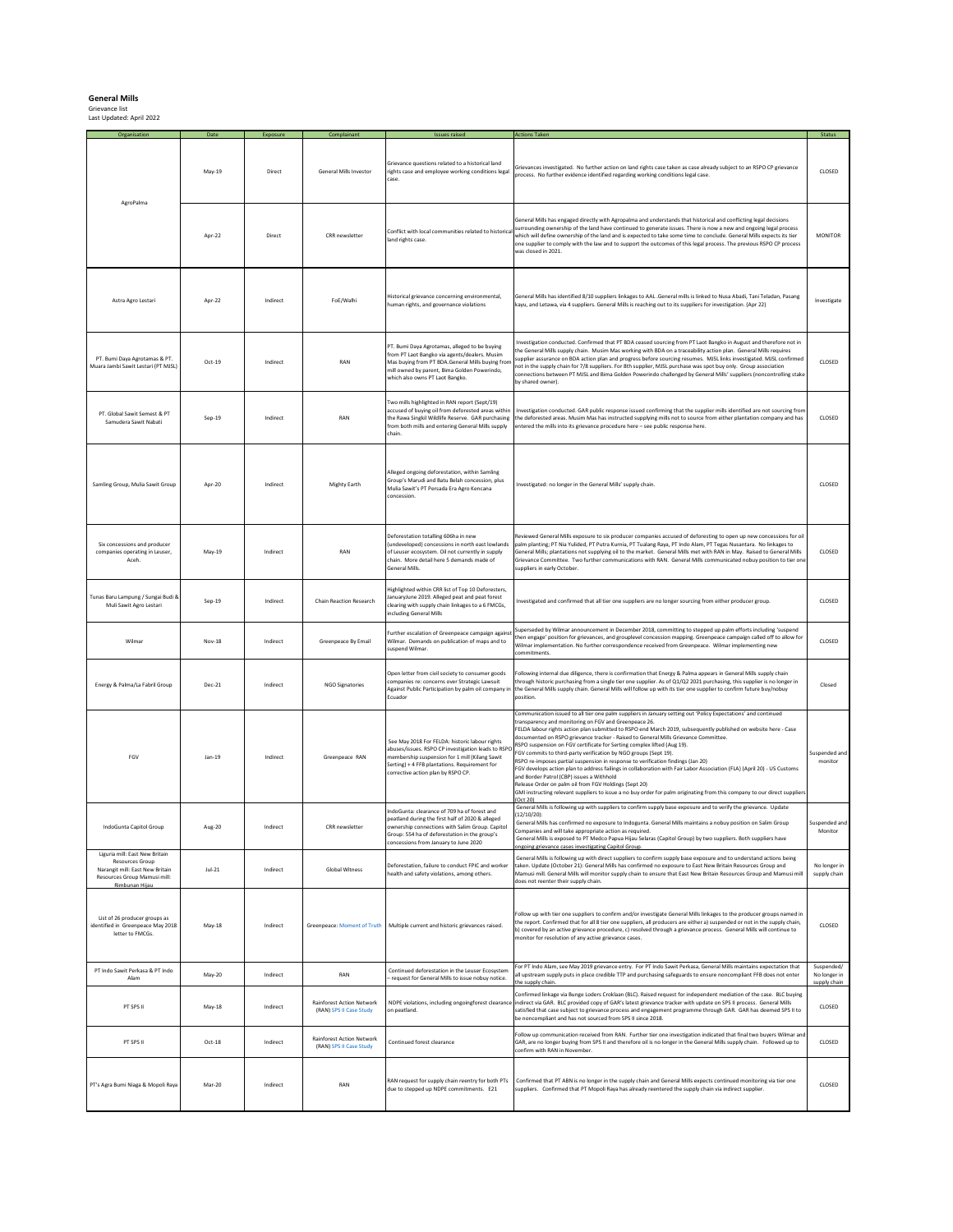**General Mills**  Grievance list Last Updated: April 2022

| Organisation                                                                                                                           | Date          | Exposure | Complainant                                                 | <b>Issues raised</b>                                                                                                                                                                                                                          | <b>Actions Taken</b>                                                                                                                                                                                                                                                                                                                                                                                                                                                                                                                                                                                                                                                                                                                                                                                                                                                                                                                                                                         | Status                       |
|----------------------------------------------------------------------------------------------------------------------------------------|---------------|----------|-------------------------------------------------------------|-----------------------------------------------------------------------------------------------------------------------------------------------------------------------------------------------------------------------------------------------|----------------------------------------------------------------------------------------------------------------------------------------------------------------------------------------------------------------------------------------------------------------------------------------------------------------------------------------------------------------------------------------------------------------------------------------------------------------------------------------------------------------------------------------------------------------------------------------------------------------------------------------------------------------------------------------------------------------------------------------------------------------------------------------------------------------------------------------------------------------------------------------------------------------------------------------------------------------------------------------------|------------------------------|
| AgroPalma                                                                                                                              | May-19        | Direct   | General Mills Investor                                      | Grievance questions related to a historical land<br>rights case and employee working conditions legal<br>case.                                                                                                                                | Grievances investigated. No further action on land rights case taken as case already subject to an RSPO CP grievance<br>process. No further evidence identified regarding working conditions legal case.                                                                                                                                                                                                                                                                                                                                                                                                                                                                                                                                                                                                                                                                                                                                                                                     | CLOSED                       |
|                                                                                                                                        | Apr-22        | Direct   | CRR newsletter                                              | land rights case.                                                                                                                                                                                                                             | General Mills has engaged directly with Agropalma and understands that historical and conflicting legal decisions<br>which will define ownership of the land and is expected to take some time to conclude. General Mills expects its tier<br>one supplier to comply with the law and to support the outcomes of this legal process. The previous RSPO CP process<br>was closed in 2021.                                                                                                                                                                                                                                                                                                                                                                                                                                                                                                                                                                                                     | <b>MONITOR</b>               |
| Astra Agro Lestari                                                                                                                     | Apr-22        | Indirect | FoE/Walhi                                                   | Historical grievance concerning environmental,<br>human rights, and governance violations                                                                                                                                                     | General Mills has identified 8/10 suppliers linkages to AAL .General mills is linked to Nusa Abadi, Tani Teladan, Pasang<br>kayu, and Letawa, via 4 suppliers. General Mills is reaching out to its suppliers for investigation. (Apr 22)                                                                                                                                                                                                                                                                                                                                                                                                                                                                                                                                                                                                                                                                                                                                                    | Investigate                  |
| PT. Bumi Dava Agrotamas & PT.<br>Muara Jambi Sawit Lestari (PT MJSL)                                                                   | Oct-19        | Indirect | RAN                                                         | PT. Bumi Daya Agrotamas, alleged to be buying<br>from PT Laot Bangko via agents/dealers. Musim<br>Mas buying from PT BDA.General Mills buying fron<br>mill owned by parent, Bima Golden Powerindo,<br>which also owns PT Laot Bangko.         | Investigation conducted. Confirmed that PT BDA ceased sourcing from PT Laot Bangko in August and therefore not in<br>the General Mills supply chain. Musim Mas working with BDA on a traceability action plan. General Mills requires<br>supplier assurance on BDA action plan and progress before sourcing resumes. MJSL links investigated. MJSL confirmed<br>not in the supply chain for 7/8 suppliers. For 8th supplier, MJSL purchase was spot buy only. Group association<br>connections between PT MJSL and Bima Golden Powerindo challenged by General Mills' suppliers (noncontrolling stake<br>by shared owner).                                                                                                                                                                                                                                                                                                                                                                   | CLOSED                       |
| PT. Global Sawit Semest & PT<br>Samudera Sawit Nabati                                                                                  | $Sep-19$      | Indirect | RAN                                                         | Two mills highlighted in RAN report (Sept/19)<br>accused of buying oil from deforested areas within<br>the Rawa Singkil Wildlife Reserve. GAR purchasing<br>from both mills and entering General Mills supply<br>chain.                       | Investigation conducted. GAR public response issued confirming that the supplier mills identified are not sourcing fron<br>the deforested areas. Musim Mas has instructed supplying mills not to source from either plantation company and has<br>entered the mills into its grievance procedure here - see public response here.                                                                                                                                                                                                                                                                                                                                                                                                                                                                                                                                                                                                                                                            | CLOSED                       |
| Samling Group, Mulia Sawit Group                                                                                                       | Apr-20        | Indirect | Mighty Earth                                                | Alleged ongoing deforestation, within Samling<br>Group's Marudi and Batu Belah concession, plus<br>Mulia Sawit's PT Persada Era Agro Kencana<br>concession.                                                                                   | Investigated: no longer in the General Mills' supply chain.                                                                                                                                                                                                                                                                                                                                                                                                                                                                                                                                                                                                                                                                                                                                                                                                                                                                                                                                  | CLOSED                       |
| Six concessions and producer<br>companies operating in Leuser,<br>Aceh.                                                                | May-19        | Indirect | RAN                                                         | Deforestation totalling 606ha in new<br>undeveloped) concessions in north east lowlands<br>of Leuser ecosystem. Oil not currently in supply<br>chain. More detail here 5 demands made of<br><b>General Mills</b>                              | Reviewed General Mills exposure to six producer companies accused of deforesting to open up new concessions for oil<br>palm planting; PT Nia Yulided, PT Putra Kurnia, PT Tualang Raya, PT Indo Alam, PT Tegas Nusantara. No linkages to<br>General Mills; plantations not supplying oil to the market. General Mills met with RAN in May. Raised to General Mills<br>Grievance Committee. Two further communications with RAN. General Mills communicated nobuy position to tier on<br>suppliers in early October                                                                                                                                                                                                                                                                                                                                                                                                                                                                           | CLOSED                       |
| Tunas Baru Lampung / Sungai Budi &<br>Muli Sawit Agro Lestari                                                                          | $Sep-19$      | Indirect | <b>Chain Reaction Research</b>                              | Highlighted within CRR list of Top 10 Deforesters,<br>anuaryJune 2019. Alleged peat and peat forest<br>clearing with supply chain linkages to a 6 FMCGs,<br>including General Mills                                                           | Investigated and confirmed that all tier one suppliers are no longer sourcing from either producer group.                                                                                                                                                                                                                                                                                                                                                                                                                                                                                                                                                                                                                                                                                                                                                                                                                                                                                    | CLOSED                       |
| Wilmar                                                                                                                                 | <b>Nov-18</b> | Indirect | Greenpeace By Email                                         | urther escalation of Greenpeace campaign agains<br>Wilmar. Demands on publication of maps and to<br>suspend Wilmar.                                                                                                                           | Superseded by Wilmar announcement in December 2018, committing to stepped up palm efforts including 'suspend<br>then engage' position for grievances, and grouplevel concession mapping. Greenpeace campaign called off to allow for<br>Wilmar implementation. No further correspondence received from Greenpeace. Wilmar implementing new<br>:ommitments.                                                                                                                                                                                                                                                                                                                                                                                                                                                                                                                                                                                                                                   | CLOSED                       |
| Energy & Palma/La Fabril Group                                                                                                         | Dec-21        | Indirect | <b>NGO Signatories</b>                                      | Open letter from civil society to consumer goods<br>companies re: concerns over Strategic Lawsuit<br>Against Public Participation by palm oil company in<br>Ecuador                                                                           | Following internal due diligence, there is confirmation that Energy & Palma appears in General Mills supply chain<br>through historic purchasing from a single tier one supplier. As of Q1/Q2 2021 purchasing, this supplier is no longer in<br>the General Mills supply chain. General Mills will follow up with its tier one supplier to confirm future buy/nobuy<br>position.                                                                                                                                                                                                                                                                                                                                                                                                                                                                                                                                                                                                             | Closed                       |
| FGV                                                                                                                                    | $Jan-19$      | Indirect | Greenpeace RAN                                              | See Mav 2018 For FELDA: historic labour rights<br>abuses/issues. RSPO CP investigation leads to RSPC<br>membership suspension for 1 mill (Kilang Sawit<br>Serting) + 4 FFB plantations. Requirement for<br>corrective action plan by RSPO CP. | Communication issued to all tier one palm suppliers in January setting out 'Policy Expectations' and continued<br>transparency and monitoring on FGV and Greenpeace 26.<br>FELDA labour rights action plan submitted to RSPO end March 2019, subsequently published on website here - Case<br>documented on RSPO grievance tracker - Raised to General Mills Grievance Committee.<br>RSPO suspension on FGV certificate for Serting complex lifted (Aug 19).<br>FGV commits to third-party verification by NGO groups (Sept 19).<br>RSPO re-imposes partial suspension in response to verification findings (Jan 20)<br>FGV develops action plan to address failings in collaboration with Fair Labor Association (FLA) (April 20) - US Customs<br>and Border Patrol (CBP) issues a Withhold<br>Release Order on palm oil from FGV Holdings (Sept 20)<br>GMI instructing relevant suppliers to issue a no buy order for palm originating from this company to our direct supplier<br>Oct 201 | Suspended and<br>monitor     |
| IndoGunta Capitol Group                                                                                                                | Aug-20        | Indirect | CRR newsletter                                              | IndoGunta: clearance of 709 ha of forest and<br>peatland during the first half of 2020 & alleged<br>ownership connections with Salim Group. Capitol<br>Group: 554 ha of deforestation in the group's<br>concessions from January to June 2020 | General Mills is following up with suppliers to confirm supply base exposure and to verify the grievance. Update<br>$(12/10/20)$ :<br>ieneral Mills has confirmed no exposure to Indogunta. General Mills maintains a nobuy position on Salim Group<br>Companies and will take appropriate action as required.<br>General Mills is exposed to PT Medco Papua Hijau Selaras (Capitol Group) by two suppliers. Both suppliers have<br>ngoing grievance cases investigating Capitol Group                                                                                                                                                                                                                                                                                                                                                                                                                                                                                                       | Monitor                      |
| Liguria mill: East New Britain<br>Resources Group<br>Narangit mill: East New Britain<br>Resources Group Mamusi mill:<br>Rimbunan Hijau | JuL21         | Indirect | <b>Global Witness</b>                                       | Deforestation, failure to conduct FPIC and worker<br>health and safety violations, among others.                                                                                                                                              | General Mills is following up with direct suppliers to confirm supply base exposure and to understand actions being<br>taken. Update (October 21): General Mills has confirmed no exposure to East New Britain Resources Group and<br>Mamusi mill. General Mills will monitor supply chain to ensure that East New Britain Resources Group and Mamusi mill<br>does not reenter their supply chain.                                                                                                                                                                                                                                                                                                                                                                                                                                                                                                                                                                                           | No longer in<br>supply chain |
| List of 26 producer groups as<br>identified in Greenpeace May 2018<br>letter to FMCGs.                                                 | May-18        | Indirect |                                                             | Greenpeace: Moment of Truth   Multiple current and historic grievances raised.                                                                                                                                                                | Follow up with tier one suppliers to confirm and/or investigate General Mills linkages to the producer groups named in<br>the report. Confirmed that for all 8 tier one suppliers, all producers are either a) suspended or not in the supply chain,<br>b) covered by an active grievance procedure, c) resolved through a grievance process. General Mills will continue to<br>monitor for resolution of any active grievance cases.                                                                                                                                                                                                                                                                                                                                                                                                                                                                                                                                                        | CLOSED                       |
| PT Indo Sawit Perkasa & PT Indo<br>Alam                                                                                                | May-20        | Indirect | RAN                                                         | Continued deforestation in the Leuser Ecosystem<br>request for General Mills to issue nobuy notice.                                                                                                                                           | For PT Indo Alam, see May 2019 grievance entry. For PT Indo Sawit Perkasa, General Mills maintains expectation that<br>all upstream supply puts in place credible TTP and purchasing safeguards to ensure noncompliant FFB does not enter                                                                                                                                                                                                                                                                                                                                                                                                                                                                                                                                                                                                                                                                                                                                                    | Suspended/<br>No longer in   |
| PT SPS II                                                                                                                              | May-18        | Indirect | <b>Rainforest Action Network</b><br>(RAN) SPS II Case Study | NDPE violations, including ongoingforest clearance<br>on peatland.                                                                                                                                                                            | Confirmed linkage via Bunge Loders Croklaan (BLC). Raised request for independent mediation of the case. BLC buying<br>indirect via GAR. BLC provided copy of GAR's latest grievance tracker with update on SPS II process. General Mills<br>satisfied that case subject to grievance process and engagement programme through GAR. GAR has deemed SPS II to<br>be noncompliant and has not sourced from SPS II since 2018.                                                                                                                                                                                                                                                                                                                                                                                                                                                                                                                                                                  | upply chair<br>CLOSED        |
| PT SPS II                                                                                                                              | Oct-18        | Indirect | <b>Rainforest Action Network</b><br>(RAN) SPS II Case Study | Continued forest clearance                                                                                                                                                                                                                    | Follow up communication received from RAN. Further tier one investigation indicated that final two buyers Wilmar an<br>SAR, are no longer buying from SPS II and therefore oil is no longer in the General Mills supply chain. Followed up to<br>confirm with RAN in November.                                                                                                                                                                                                                                                                                                                                                                                                                                                                                                                                                                                                                                                                                                               | CLOSED                       |
| PT's Agra Bumi Niaga & Mopoli Raya                                                                                                     | Mar-20        | Indirect | RAN                                                         | RAN request for supply chain reentry for both PTs<br>due to stepped up NDPE commitments. E21                                                                                                                                                  | Confirmed that PT ABN is no longer in the supply chain and General Mills expects continued monitoring via tier one<br>suppliers. Confirmed that PT Mopoli Raya has already reentered the supply chain via indirect supplier.                                                                                                                                                                                                                                                                                                                                                                                                                                                                                                                                                                                                                                                                                                                                                                 | CLOSED                       |